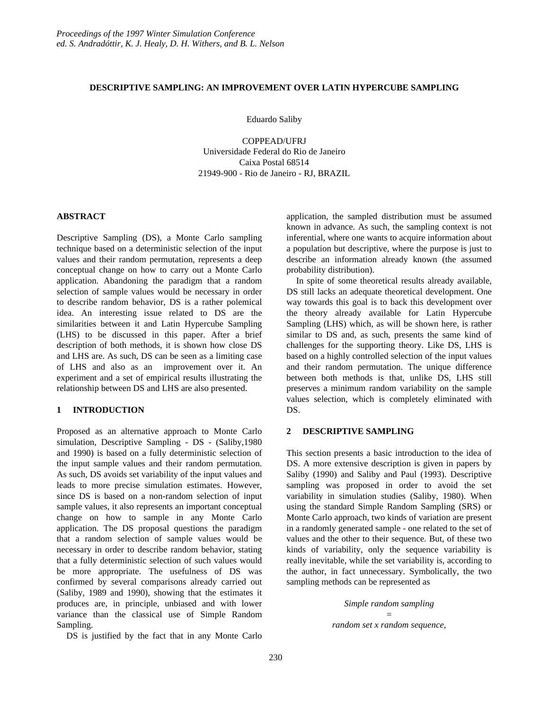## **DESCRIPTIVE SAMPLING: AN IMPROVEMENT OVER LATIN HYPERCUBE SAMPLING**

Eduardo Saliby

COPPEAD/UFRJ Universidade Federal do Rio de Janeiro Caixa Postal 68514 21949-900 - Rio de Janeiro - RJ, BRAZIL

# **ABSTRACT**

Descriptive Sampling (DS), a Monte Carlo sampling technique based on a deterministic selection of the input values and their random permutation, represents a deep conceptual change on how to carry out a Monte Carlo application. Abandoning the paradigm that a random selection of sample values would be necessary in order to describe random behavior, DS is a rather polemical idea. An interesting issue related to DS are the similarities between it and Latin Hypercube Sampling (LHS) to be discussed in this paper. After a brief description of both methods, it is shown how close DS and LHS are. As such, DS can be seen as a limiting case of LHS and also as an improvement over it. An experiment and a set of empirical results illustrating the relationship between DS and LHS are also presented.

## **1 INTRODUCTION**

Proposed as an alternative approach to Monte Carlo simulation, Descriptive Sampling - DS - (Saliby,1980 and 1990) is based on a fully deterministic selection of the input sample values and their random permutation. As such, DS avoids set variability of the input values and leads to more precise simulation estimates. However, since DS is based on a non-random selection of input sample values, it also represents an important conceptual change on how to sample in any Monte Carlo application. The DS proposal questions the paradigm that a random selection of sample values would be necessary in order to describe random behavior, stating that a fully deterministic selection of such values would be more appropriate. The usefulness of DS was confirmed by several comparisons already carried out (Saliby, 1989 and 1990), showing that the estimates it produces are, in principle, unbiased and with lower variance than the classical use of Simple Random Sampling.

DS is justified by the fact that in any Monte Carlo

application, the sampled distribution must be assumed known in advance. As such, the sampling context is not inferential, where one wants to acquire information about a population but descriptive, where the purpose is just to describe an information already known (the assumed probability distribution).

In spite of some theoretical results already available, DS still lacks an adequate theoretical development. One way towards this goal is to back this development over the theory already available for Latin Hypercube Sampling (LHS) which, as will be shown here, is rather similar to DS and, as such, presents the same kind of challenges for the supporting theory. Like DS, LHS is based on a highly controlled selection of the input values and their random permutation. The unique difference between both methods is that, unlike DS, LHS still preserves a minimum random variability on the sample values selection, which is completely eliminated with DS.

## **2 DESCRIPTIVE SAMPLING**

This section presents a basic introduction to the idea of DS. A more extensive description is given in papers by Saliby (1990) and Saliby and Paul (1993). Descriptive sampling was proposed in order to avoid the set variability in simulation studies (Saliby, 1980). When using the standard Simple Random Sampling (SRS) or Monte Carlo approach, two kinds of variation are present in a randomly generated sample - one related to the set of values and the other to their sequence. But, of these two kinds of variability, only the sequence variability is really inevitable, while the set variability is, according to the author, in fact unnecessary. Symbolically, the two sampling methods can be represented as

> *Simple random sampling = random set x random sequence,*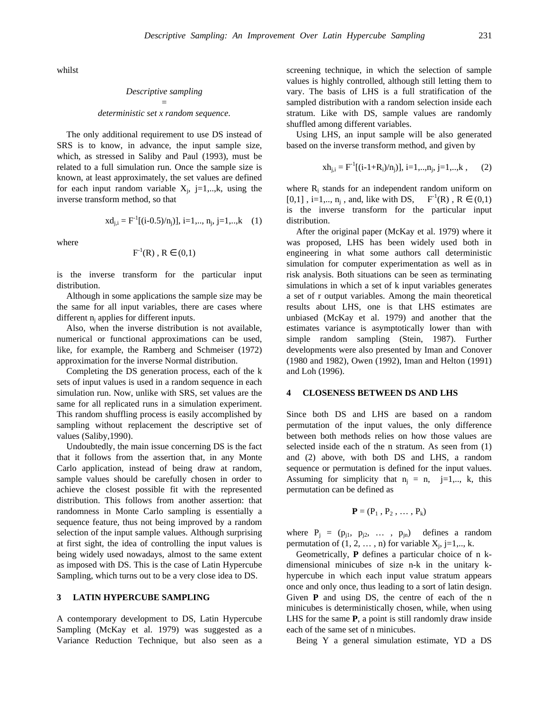whilst

*Descriptive sampling = deterministic set x random sequence.*

The only additional requirement to use DS instead of SRS is to know, in advance, the input sample size, which, as stressed in Saliby and Paul (1993), must be related to a full simulation run. Once the sample size is known, at least approximately, the set values are defined for each input random variable  $X_i$ , j=1,..,k, using the inverse transform method, so that

$$
xd_{j,i} = F^{-1}[(i-0.5)/n_j)], i=1,.., n_j, j=1,..,k \quad (1)
$$

where

$$
F^{-1}(R)
$$
,  $R \in (0,1)$ 

is the inverse transform for the particular input distribution.

Although in some applications the sample size may be the same for all input variables, there are cases where different  $n_i$  applies for different inputs.

Also, when the inverse distribution is not available, numerical or functional approximations can be used, like, for example, the Ramberg and Schmeiser (1972) approximation for the inverse Normal distribution.

Completing the DS generation process, each of the k sets of input values is used in a random sequence in each simulation run. Now, unlike with SRS, set values are the same for all replicated runs in a simulation experiment. This random shuffling process is easily accomplished by sampling without replacement the descriptive set of values (Saliby,1990).

Undoubtedly, the main issue concerning DS is the fact that it follows from the assertion that, in any Monte Carlo application, instead of being draw at random, sample values should be carefully chosen in order to achieve the closest possible fit with the represented distribution. This follows from another assertion: that randomness in Monte Carlo sampling is essentially a sequence feature, thus not being improved by a random selection of the input sample values. Although surprising at first sight, the idea of controlling the input values is being widely used nowadays, almost to the same extent as imposed with DS. This is the case of Latin Hypercube Sampling, which turns out to be a very close idea to DS.

### **3 LATIN HYPERCUBE SAMPLING**

A contemporary development to DS, Latin Hypercube Sampling (McKay et al. 1979) was suggested as a Variance Reduction Technique, but also seen as a

screening technique, in which the selection of sample values is highly controlled, although still letting them to vary. The basis of LHS is a full stratification of the sampled distribution with a random selection inside each stratum. Like with DS, sample values are randomly shuffled among different variables.

Using LHS, an input sample will be also generated based on the inverse transform method, and given by

$$
xh_{j,i} = F^{-1}[(i-1+R_i)/n_j)], i=1,..,n_j, j=1,..,k , (2)
$$

where  $R_i$  stands for an independent random uniform on  $[0,1]$ , i=1,..,  $n_i$ , and, like with DS,  $F^1(R)$ ,  $R \in (0,1)$ is the inverse transform for the particular input distribution.

After the original paper (McKay et al. 1979) where it was proposed, LHS has been widely used both in engineering in what some authors call deterministic simulation for computer experimentation as well as in risk analysis. Both situations can be seen as terminating simulations in which a set of k input variables generates a set of r output variables. Among the main theoretical results about LHS, one is that LHS estimates are unbiased (McKay et al. 1979) and another that the estimates variance is asymptotically lower than with simple random sampling (Stein, 1987). Further developments were also presented by Iman and Conover (1980 and 1982), Owen (1992), Iman and Helton (1991) and Loh (1996).

#### **4 CLOSENESS BETWEEN DS AND LHS**

Since both DS and LHS are based on a random permutation of the input values, the only difference between both methods relies on how those values are selected inside each of the n stratum. As seen from (1) and (2) above, with both DS and LHS, a random sequence or permutation is defined for the input values. Assuming for simplicity that  $n_i = n$ , j=1,.., k, this permutation can be defined as

$$
\mathbf{P}=(P_1\,,\,P_2\,,\,\ldots\,,\,P_k)
$$

where  $P_i = (p_{i1}, p_{i2}, \dots, p_{in})$  defines a random permutation of  $(1, 2, \ldots, n)$  for variable  $X_j$ , j=1,.., k.

Geometrically, **P** defines a particular choice of n kdimensional minicubes of size n-k in the unitary khypercube in which each input value stratum appears once and only once, thus leading to a sort of latin design. Given **P** and using DS, the centre of each of the n minicubes is deterministically chosen, while, when using LHS for the same **P**, a point is still randomly draw inside each of the same set of n minicubes.

Being Y a general simulation estimate, YD a DS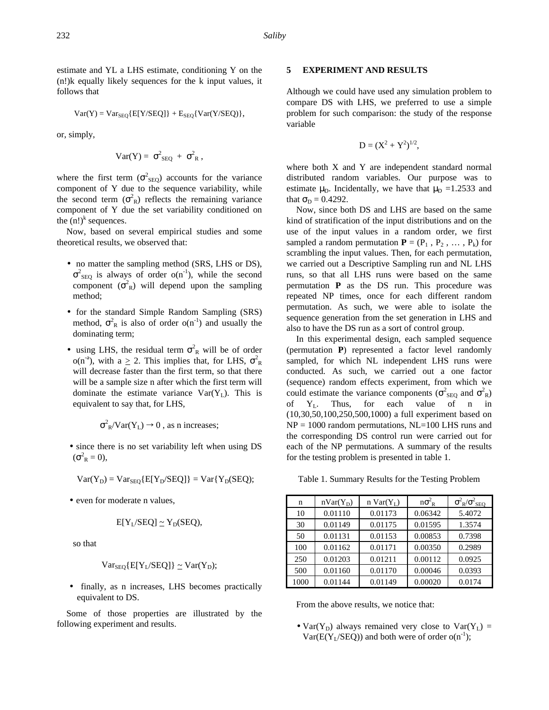estimate and YL a LHS estimate, conditioning Y on the (n!)k equally likely sequences for the k input values, it follows that

$$
Var(Y) = Var_{SEQ}\{E[Y/SEQ]\} + E_{SEQ}\{Var(Y/SEQ)\},\
$$

or, simply,

$$
Var(Y) = \sigma_{SEQ}^2 + \sigma_{R}^2,
$$

where the first term ( $\sigma^2$ <sub>SEQ</sub>) accounts for the variance component of Y due to the sequence variability, while the second term  $(\sigma_R^2)$  reflects the remaining variance component of Y due the set variability conditioned on the  $(n!)^k$  sequences.

Now, based on several empirical studies and some theoretical results, we observed that:

- no matter the sampling method (SRS, LHS or DS),  $\sigma_{\text{SEQ}}^2$  is always of order o(n<sup>-1</sup>), while the second component  $(\sigma^2_R)$  will depend upon the sampling method;
- for the standard Simple Random Sampling (SRS) method,  $\sigma_R^2$  is also of order o(n<sup>-1</sup>) and usually the dominating term;
- using LHS, the residual term  $\sigma_R^2$  will be of order  $o(n^{-a})$ , with a  $\geq 2$ . This implies that, for LHS,  $\sigma_R^2$ will decrease faster than the first term, so that there will be a sample size n after which the first term will dominate the estimate variance  $Var(Y_L)$ . This is equivalent to say that, for LHS,

$$
\sigma^2_R / \text{Var}(Y_L) \rightarrow 0
$$
, as n increases;

• since there is no set variability left when using DS  $(\sigma_R^2 = 0),$ 

 $Var(Y_D) = Var_{SEO} \{E[Y_D/SEQ]\} = Var\{Y_D(SEQ)\};$ 

• even for moderate n values,

$$
E[Y_L/SEQ] \simeq Y_D(SEQ),
$$

so that

$$
Var_{SEQ}\{E[Y_L/SEQ]\} \simeq Var(Y_D);
$$

• finally, as n increases, LHS becomes practically equivalent to DS.

Some of those properties are illustrated by the following experiment and results.

### **5 EXPERIMENT AND RESULTS**

Although we could have used any simulation problem to compare DS with LHS, we preferred to use a simple problem for such comparison: the study of the response variable

$$
D = (X^2 + Y^2)^{1/2},
$$

where both X and Y are independent standard normal distributed random variables. Our purpose was to estimate  $\mu_{\text{D}}$ . Incidentally, we have that  $\mu_{\text{D}} = 1.2533$  and that  $\sigma_{\rm D} = 0.4292$ .

Now, since both DS and LHS are based on the same kind of stratification of the input distributions and on the use of the input values in a random order, we first sampled a random permutation  $P = (P_1, P_2, \dots, P_k)$  for scrambling the input values. Then, for each permutation, we carried out a Descriptive Sampling run and NL LHS runs, so that all LHS runs were based on the same permutation **P** as the DS run. This procedure was repeated NP times, once for each different random permutation. As such, we were able to isolate the sequence generation from the set generation in LHS and also to have the DS run as a sort of control group.

In this experimental design, each sampled sequence (permutation **P**) represented a factor level randomly sampled, for which NL independent LHS runs were conducted. As such, we carried out a one factor (sequence) random effects experiment, from which we could estimate the variance components ( $\sigma_{\text{SEQ}}^2$  and  $\sigma_R^2$ ) of  $Y_L$ . Thus, for each value of n in (10,30,50,100,250,500,1000) a full experiment based on  $NP = 1000$  random permutations,  $NL=100$  LHS runs and the corresponding DS control run were carried out for each of the NP permutations. A summary of the results for the testing problem is presented in table 1.

Table 1. Summary Results for the Testing Problem

| n    | $nVar(Y_D)$ | n $Var(Y_1)$ | $n\sigma_{R}^{2}$ | $\sigma^2_R/\sigma^2_{SEQ}$ |
|------|-------------|--------------|-------------------|-----------------------------|
| 10   | 0.01110     | 0.01173      | 0.06342           | 5.4072                      |
| 30   | 0.01149     | 0.01175      | 0.01595           | 1.3574                      |
| 50   | 0.01131     | 0.01153      | 0.00853           | 0.7398                      |
| 100  | 0.01162     | 0.01171      | 0.00350           | 0.2989                      |
| 250  | 0.01203     | 0.01211      | 0.00112           | 0.0925                      |
| 500  | 0.01160     | 0.01170      | 0.00046           | 0.0393                      |
| 1000 | 0.01144     | 0.01149      | 0.00020           | 0.0174                      |

From the above results, we notice that:

• Var( $Y_D$ ) always remained very close to Var( $Y_L$ ) =  $Var(E(Y_1/SEQ))$  and both were of order o(n<sup>-1</sup>);